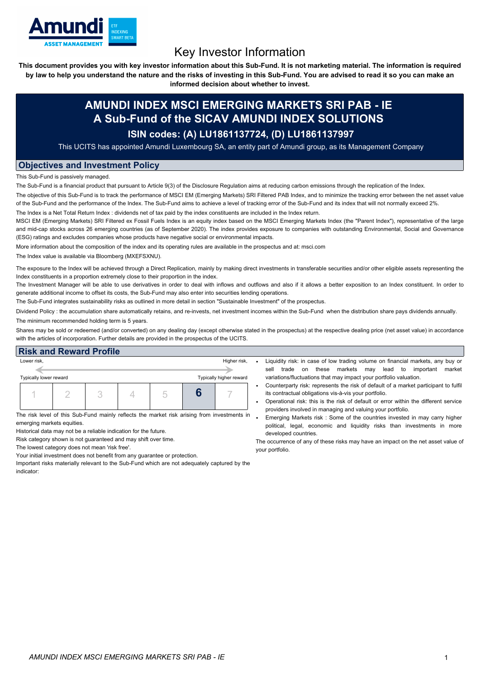

# Key Investor Information

This document provides you with key investor information about this Sub-Fund. It is not marketing material. The information is required by law to help you understand the nature and the risks of investing in this Sub-Fund. You are advised to read it so you can make an

**informed decision about whether to invest.**

## **AMUNDI INDEX MSCI EMERGING MARKETS SRI PAB - IE A Sub-Fund of the SICAV AMUNDI INDEX SOLUTIONS**

## **ISIN codes: (A) LU1861137724, (D) LU1861137997**

This UCITS has appointed Amundi Luxembourg SA, an entity part of Amundi group, as its Management Company

### **Objectives and Investment Policy**

This Sub-Fund is passively managed.

The Sub-Fund is a financial product that pursuant to Article 9(3) of the Disclosure Regulation aims at reducing carbon emissions through the replication of the Index.

The objective of this Sub-Fund is to track the performance of MSCI EM (Emerging Markets) SRI Filtered PAB Index, and to minimize the tracking error between the net asset value of the Sub-Fund and the performance of the Index. The Sub-Fund aims to achieve a level of tracking error of the Sub-Fund and its index that will not normally exceed 2%.

The Index is a Net Total Return Index : dividends net of tax paid by the index constituents are included in the Index return.

MSCI EM (Emerging Markets) SRI Filtered ex Fossil Fuels Index is an equity index based on the MSCI Emerging Markets Index (the "Parent Index"), representative of the large and mid-cap stocks across 26 emerging countries (as of September 2020). The index provides exposure to companies with outstanding Environmental, Social and Governance (ESG) ratings and excludes companies whose products have negative social or environmental impacts.

More information about the composition of the index and its operating rules are available in the prospectus and at: msci.com

The Index value is available via Bloomberg (MXEFSXNU).

The exposure to the Index will be achieved through a Direct Replication, mainly by making direct investments in transferable securities and/or other eligible assets representing the Index constituents in a proportion extremely close to their proportion in the index.

The Investment Manager will be able to use derivatives in order to deal with inflows and outflows and also if it allows a better exposition to an Index constituent. In order to generate additional income to offset its costs, the Sub-Fund may also enter into securities lending operations.

The Sub-Fund integrates sustainability risks as outlined in more detail in section "Sustainable Investment" of the prospectus.

Dividend Policy : the accumulation share automatically retains, and re-invests, net investment incomes within the Sub-Fund when the distribution share pays dividends annually. The minimum recommended holding term is 5 years.

Shares may be sold or redeemed (and/or converted) on any dealing day (except otherwise stated in the prospectus) at the respective dealing price (net asset value) in accordance with the articles of incorporation. Further details are provided in the prospectus of the UCITS.

### **Risk and Reward Profile**

| Lower risk,                                       |  | Higher risk, |  |  |  |  |
|---------------------------------------------------|--|--------------|--|--|--|--|
|                                                   |  |              |  |  |  |  |
| Typically lower reward<br>Typically higher reward |  |              |  |  |  |  |
|                                                   |  |              |  |  |  |  |

The risk level of this Sub-Fund mainly reflects the market risk arising from investments in emerging markets equities.

Historical data may not be a reliable indication for the future.

Risk category shown is not guaranteed and may shift over time.

The lowest category does not mean 'risk free'.

Your initial investment does not benefit from any guarantee or protection.

Important risks materially relevant to the Sub-Fund which are not adequately captured by the indicator:

- Liquidity risk: in case of low trading volume on financial markets, any buy or sell trade on these markets may lead to important market variations/fluctuations that may impact your portfolio valuation.
- Counterparty risk: represents the risk of default of a market participant to fulfil its contractual obligations vis-à-vis your portfolio.
- Operational risk: this is the risk of default or error within the different service providers involved in managing and valuing your portfolio.
- Emerging Markets risk : Some of the countries invested in may carry higher political, legal, economic and liquidity risks than investments in more developed countries.

The occurrence of any of these risks may have an impact on the net asset value of your portfolio.